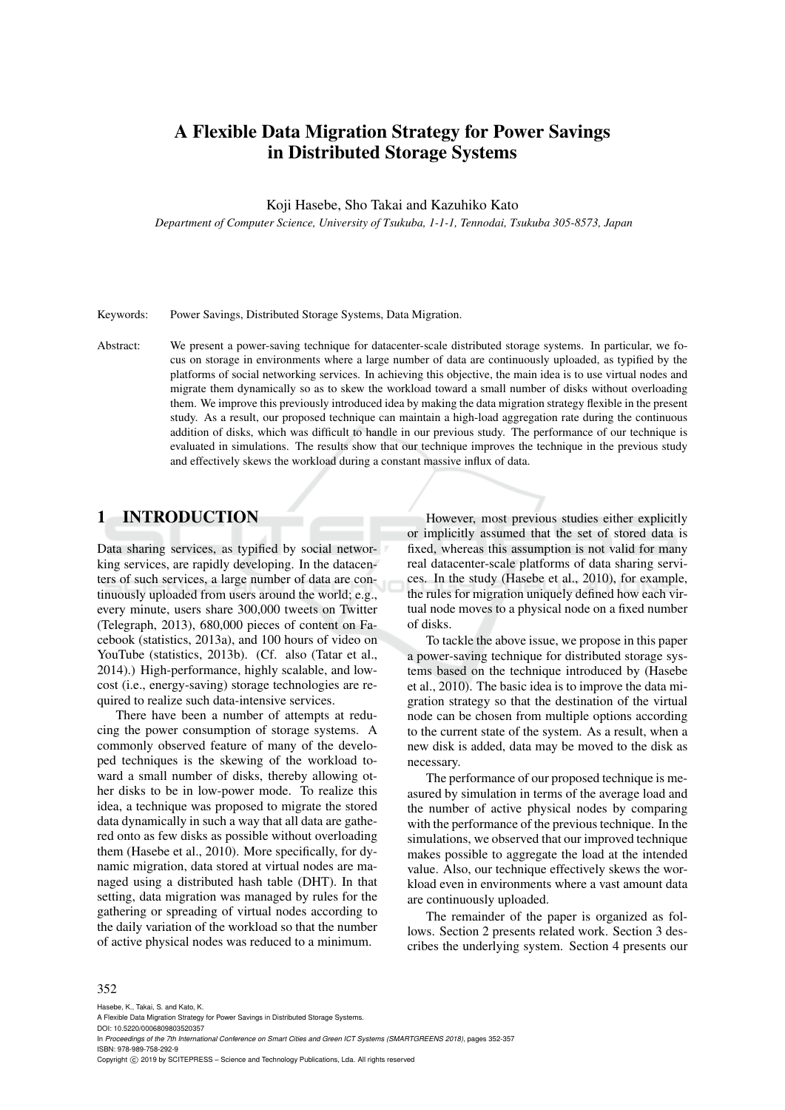# A Flexible Data Migration Strategy for Power Savings in Distributed Storage Systems

Koji Hasebe, Sho Takai and Kazuhiko Kato

*Department of Computer Science, University of Tsukuba, 1-1-1, Tennodai, Tsukuba 305-8573, Japan*

Keywords: Power Savings, Distributed Storage Systems, Data Migration.

Abstract: We present a power-saving technique for datacenter-scale distributed storage systems. In particular, we focus on storage in environments where a large number of data are continuously uploaded, as typified by the platforms of social networking services. In achieving this objective, the main idea is to use virtual nodes and migrate them dynamically so as to skew the workload toward a small number of disks without overloading them. We improve this previously introduced idea by making the data migration strategy flexible in the present study. As a result, our proposed technique can maintain a high-load aggregation rate during the continuous addition of disks, which was difficult to handle in our previous study. The performance of our technique is evaluated in simulations. The results show that our technique improves the technique in the previous study and effectively skews the workload during a constant massive influx of data.

## 1 INTRODUCTION

Data sharing services, as typified by social networking services, are rapidly developing. In the datacenters of such services, a large number of data are continuously uploaded from users around the world; e.g., every minute, users share 300,000 tweets on Twitter (Telegraph, 2013), 680,000 pieces of content on Facebook (statistics, 2013a), and 100 hours of video on YouTube (statistics, 2013b). (Cf. also (Tatar et al., 2014).) High-performance, highly scalable, and lowcost (i.e., energy-saving) storage technologies are required to realize such data-intensive services.

There have been a number of attempts at reducing the power consumption of storage systems. A commonly observed feature of many of the developed techniques is the skewing of the workload toward a small number of disks, thereby allowing other disks to be in low-power mode. To realize this idea, a technique was proposed to migrate the stored data dynamically in such a way that all data are gathered onto as few disks as possible without overloading them (Hasebe et al., 2010). More specifically, for dynamic migration, data stored at virtual nodes are managed using a distributed hash table (DHT). In that setting, data migration was managed by rules for the gathering or spreading of virtual nodes according to the daily variation of the workload so that the number of active physical nodes was reduced to a minimum.

However, most previous studies either explicitly or implicitly assumed that the set of stored data is fixed, whereas this assumption is not valid for many real datacenter-scale platforms of data sharing services. In the study (Hasebe et al., 2010), for example, the rules for migration uniquely defined how each virtual node moves to a physical node on a fixed number of disks.

To tackle the above issue, we propose in this paper a power-saving technique for distributed storage systems based on the technique introduced by (Hasebe et al., 2010). The basic idea is to improve the data migration strategy so that the destination of the virtual node can be chosen from multiple options according to the current state of the system. As a result, when a new disk is added, data may be moved to the disk as necessary.

The performance of our proposed technique is measured by simulation in terms of the average load and the number of active physical nodes by comparing with the performance of the previous technique. In the simulations, we observed that our improved technique makes possible to aggregate the load at the intended value. Also, our technique effectively skews the workload even in environments where a vast amount data are continuously uploaded.

The remainder of the paper is organized as follows. Section 2 presents related work. Section 3 describes the underlying system. Section 4 presents our

#### 352

Hasebe, K., Takai, S. and Kato, K.

A Flexible Data Migration Strategy for Power Savings in Distributed Storage Systems. DOI: 10.5220/0006809803520357

In *Proceedings of the 7th International Conference on Smart Cities and Green ICT Systems (SMARTGREENS 2018)*, pages 352-357 ISBN: 978-989-758-292-9

Copyright (C) 2019 by SCITEPRESS - Science and Technology Publications, Lda. All rights reserved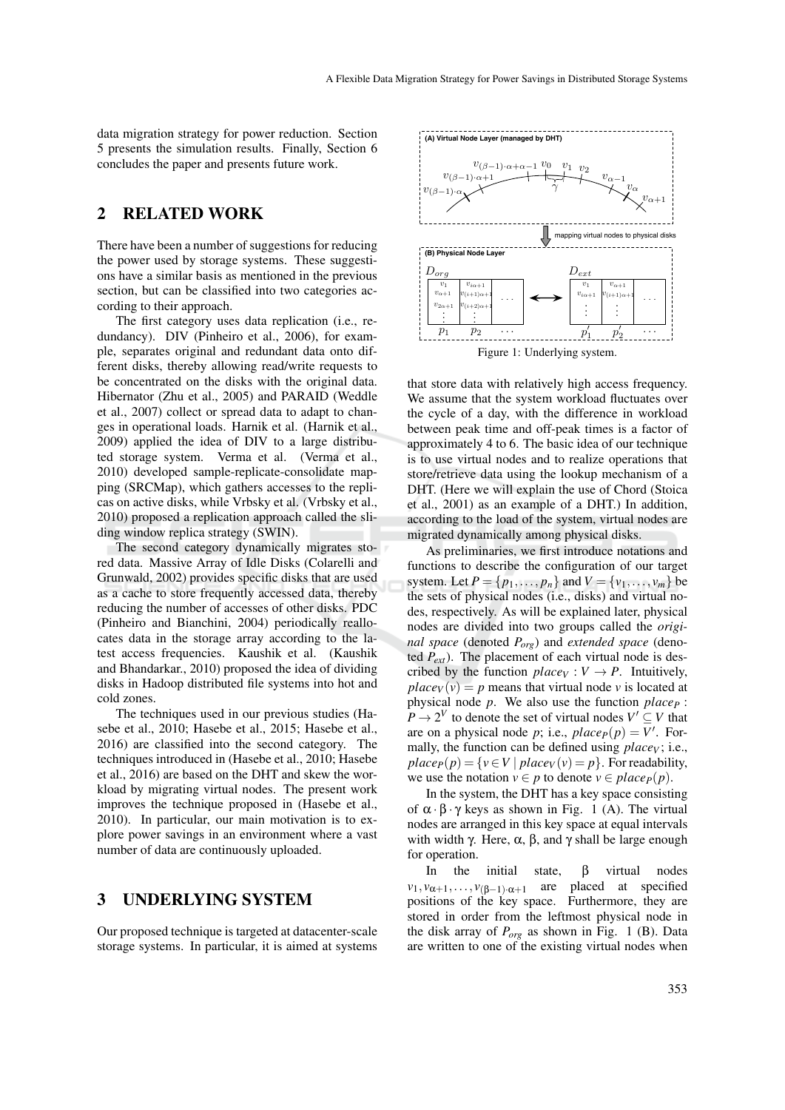data migration strategy for power reduction. Section 5 presents the simulation results. Finally, Section 6 concludes the paper and presents future work.

### 2 RELATED WORK

There have been a number of suggestions for reducing the power used by storage systems. These suggestions have a similar basis as mentioned in the previous section, but can be classified into two categories according to their approach.

The first category uses data replication (i.e., redundancy). DIV (Pinheiro et al., 2006), for example, separates original and redundant data onto different disks, thereby allowing read/write requests to be concentrated on the disks with the original data. Hibernator (Zhu et al., 2005) and PARAID (Weddle et al., 2007) collect or spread data to adapt to changes in operational loads. Harnik et al. (Harnik et al., 2009) applied the idea of DIV to a large distributed storage system. Verma et al. (Verma et al., 2010) developed sample-replicate-consolidate mapping (SRCMap), which gathers accesses to the replicas on active disks, while Vrbsky et al. (Vrbsky et al., 2010) proposed a replication approach called the sliding window replica strategy (SWIN).

The second category dynamically migrates stored data. Massive Array of Idle Disks (Colarelli and Grunwald, 2002) provides specific disks that are used as a cache to store frequently accessed data, thereby reducing the number of accesses of other disks. PDC (Pinheiro and Bianchini, 2004) periodically reallocates data in the storage array according to the latest access frequencies. Kaushik et al. (Kaushik and Bhandarkar., 2010) proposed the idea of dividing disks in Hadoop distributed file systems into hot and cold zones.

The techniques used in our previous studies (Hasebe et al., 2010; Hasebe et al., 2015; Hasebe et al., 2016) are classified into the second category. The techniques introduced in (Hasebe et al., 2010; Hasebe et al., 2016) are based on the DHT and skew the workload by migrating virtual nodes. The present work improves the technique proposed in (Hasebe et al., 2010). In particular, our main motivation is to explore power savings in an environment where a vast number of data are continuously uploaded.

### 3 UNDERLYING SYSTEM

Our proposed technique is targeted at datacenter-scale storage systems. In particular, it is aimed at systems



that store data with relatively high access frequency. We assume that the system workload fluctuates over the cycle of a day, with the difference in workload between peak time and off-peak times is a factor of approximately 4 to 6. The basic idea of our technique is to use virtual nodes and to realize operations that store/retrieve data using the lookup mechanism of a DHT. (Here we will explain the use of Chord (Stoica et al., 2001) as an example of a DHT.) In addition, according to the load of the system, virtual nodes are migrated dynamically among physical disks.

As preliminaries, we first introduce notations and functions to describe the configuration of our target system. Let  $P = \{p_1, ..., p_n\}$  and  $V = \{v_1, ..., v_m\}$  be the sets of physical nodes (i.e., disks) and virtual nodes, respectively. As will be explained later, physical nodes are divided into two groups called the *original space* (denoted *Porg*) and *extended space* (denoted *Pext*). The placement of each virtual node is described by the function  $place_V : V \rightarrow P$ . Intuitively,  $place_V(v) = p$  means that virtual node *v* is located at physical node *p*. We also use the function *place<sup>P</sup>* :  $P \to 2^V$  to denote the set of virtual nodes  $V' \subseteq V$  that are on a physical node *p*; i.e.,  $place_P(p) = V'$ . Formally, the function can be defined using *place<sup>V</sup>* ; i.e.,  $place_P(p) = \{v \in V \mid place_V(v) = p\}$ . For readability, we use the notation  $v \in p$  to denote  $v \in place_P(p)$ .

In the system, the DHT has a key space consisting of  $\alpha \cdot \beta \cdot \gamma$  keys as shown in Fig. 1 (A). The virtual nodes are arranged in this key space at equal intervals with width γ. Here,  $\alpha$ ,  $\beta$ , and γ shall be large enough for operation.

In the initial state, β virtual nodes  $v_1, v_{\alpha+1}, \ldots, v_{(\beta-1)\cdot \alpha+1}$  are placed at specified positions of the key space. Furthermore, they are stored in order from the leftmost physical node in the disk array of *Porg* as shown in Fig. 1 (B). Data are written to one of the existing virtual nodes when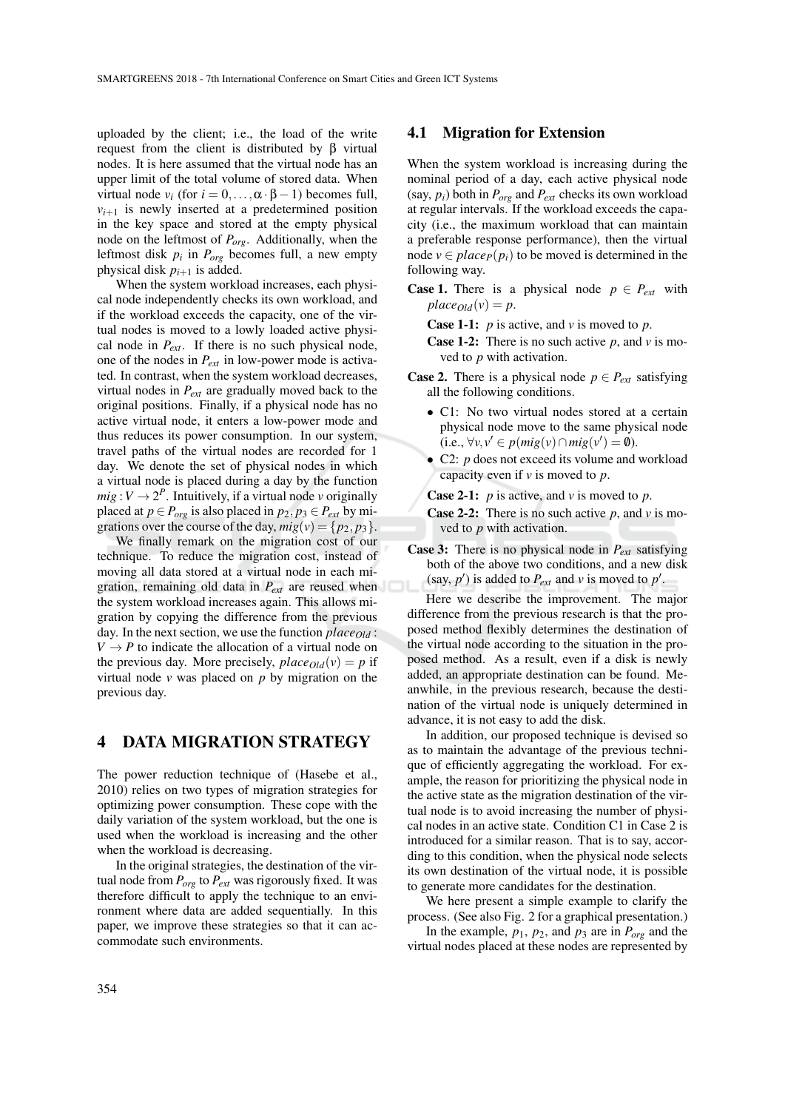uploaded by the client; i.e., the load of the write request from the client is distributed by β virtual nodes. It is here assumed that the virtual node has an upper limit of the total volume of stored data. When virtual node  $v_i$  (for  $i = 0, ..., \alpha \cdot \beta - 1$ ) becomes full,  $v_{i+1}$  is newly inserted at a predetermined position in the key space and stored at the empty physical node on the leftmost of *Porg*. Additionally, when the leftmost disk *p<sup>i</sup>* in *Porg* becomes full, a new empty physical disk  $p_{i+1}$  is added.

When the system workload increases, each physical node independently checks its own workload, and if the workload exceeds the capacity, one of the virtual nodes is moved to a lowly loaded active physical node in *Pext*. If there is no such physical node, one of the nodes in *Pext* in low-power mode is activated. In contrast, when the system workload decreases, virtual nodes in *Pext* are gradually moved back to the original positions. Finally, if a physical node has no active virtual node, it enters a low-power mode and thus reduces its power consumption. In our system, travel paths of the virtual nodes are recorded for 1 day. We denote the set of physical nodes in which a virtual node is placed during a day by the function  $mig: V \to 2^P$ . Intuitively, if a virtual node *v* originally placed at  $p \in P_{org}$  is also placed in  $p_2, p_3 \in P_{ext}$  by migrations over the course of the day,  $mig(v) = \{p_2, p_3\}.$ 

We finally remark on the migration cost of our technique. To reduce the migration cost, instead of moving all data stored at a virtual node in each migration, remaining old data in *Pext* are reused when the system workload increases again. This allows migration by copying the difference from the previous day. In the next section, we use the function *placeOld* :  $V \rightarrow P$  to indicate the allocation of a virtual node on the previous day. More precisely,  $place_{Old}(v) = p$  if virtual node  $\nu$  was placed on  $p$  by migration on the previous day.

### 4 DATA MIGRATION STRATEGY

The power reduction technique of (Hasebe et al., 2010) relies on two types of migration strategies for optimizing power consumption. These cope with the daily variation of the system workload, but the one is used when the workload is increasing and the other when the workload is decreasing.

In the original strategies, the destination of the virtual node from *Porg* to *Pext* was rigorously fixed. It was therefore difficult to apply the technique to an environment where data are added sequentially. In this paper, we improve these strategies so that it can accommodate such environments.

### 4.1 Migration for Extension

When the system workload is increasing during the nominal period of a day, each active physical node (say,  $p_i$ ) both in  $P_{org}$  and  $P_{ext}$  checks its own workload at regular intervals. If the workload exceeds the capacity (i.e., the maximum workload that can maintain a preferable response performance), then the virtual node  $v \in place_P(p_i)$  to be moved is determined in the following way.

**Case 1.** There is a physical node  $p \in P_{ext}$  with  $place_{Old}(v) = p$ .

Case 1-1: *p* is active, and *v* is moved to *p*.

- Case 1-2: There is no such active *p*, and *v* is moved to *p* with activation.
- **Case 2.** There is a physical node  $p \in P_{ext}$  satisfying all the following conditions.
	- C1: No two virtual nodes stored at a certain physical node move to the same physical node  $(i.e., \forall v, v' \in p(mig(v) \cap mig(v') = \emptyset).$
	- C2: *p* does not exceed its volume and workload capacity even if *v* is moved to *p*.

Case 2-1: *p* is active, and *v* is moved to *p*.

- Case 2-2: There is no such active *p*, and *v* is moved to *p* with activation.
- Case 3: There is no physical node in *Pext* satisfying both of the above two conditions, and a new disk (say,  $p'$ ) is added to  $P_{ext}$  and  $v$  is moved to  $p'$ .

Here we describe the improvement. The major difference from the previous research is that the proposed method flexibly determines the destination of the virtual node according to the situation in the proposed method. As a result, even if a disk is newly added, an appropriate destination can be found. Meanwhile, in the previous research, because the destination of the virtual node is uniquely determined in advance, it is not easy to add the disk.

In addition, our proposed technique is devised so as to maintain the advantage of the previous technique of efficiently aggregating the workload. For example, the reason for prioritizing the physical node in the active state as the migration destination of the virtual node is to avoid increasing the number of physical nodes in an active state. Condition C1 in Case 2 is introduced for a similar reason. That is to say, according to this condition, when the physical node selects its own destination of the virtual node, it is possible to generate more candidates for the destination.

We here present a simple example to clarify the process. (See also Fig. 2 for a graphical presentation.)

In the example,  $p_1$ ,  $p_2$ , and  $p_3$  are in  $P_{\text{org}}$  and the virtual nodes placed at these nodes are represented by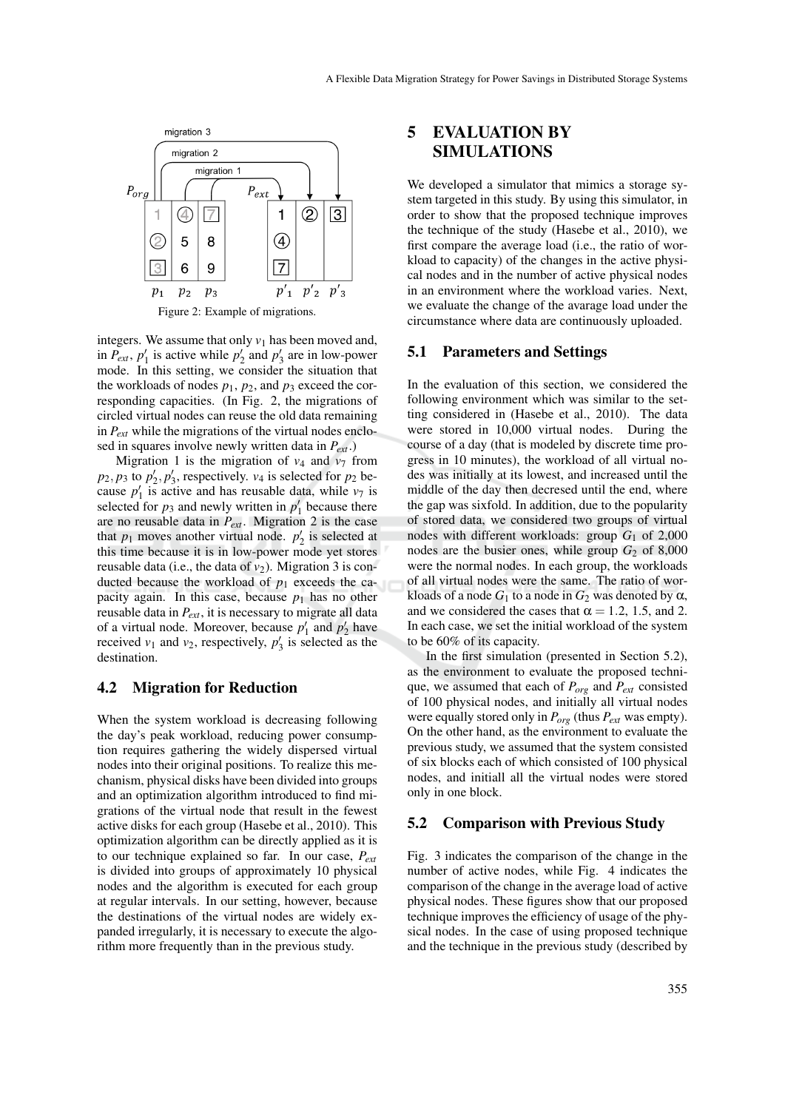

integers. We assume that only  $v_1$  has been moved and, in  $P_{ext}$ ,  $p'_1$  is active while  $p'_2$  and  $p'_3$  are in low-power mode. In this setting, we consider the situation that the workloads of nodes  $p_1$ ,  $p_2$ , and  $p_3$  exceed the corresponding capacities. (In Fig. 2, the migrations of circled virtual nodes can reuse the old data remaining in *Pext* while the migrations of the virtual nodes enclosed in squares involve newly written data in *Pext*.)

Migration 1 is the migration of  $v_4$  and  $v_7$  from  $p_2, p_3$  to  $p'_2, p'_3$ , respectively.  $v_4$  is selected for  $p_2$  because  $p'_1$  is active and has reusable data, while  $v_7$  is selected for  $p_3$  and newly written in  $p'_1$  because there are no reusable data in *Pext*. Migration 2 is the case that  $p_1$  moves another virtual node.  $p'_2$  is selected at this time because it is in low-power mode yet stores reusable data (i.e., the data of  $v_2$ ). Migration 3 is conducted because the workload of  $p_1$  exceeds the capacity again. In this case, because  $p_1$  has no other reusable data in *Pext*, it is necessary to migrate all data of a virtual node. Moreover, because  $p'_1$  and  $p'_2$  have received  $v_1$  and  $v_2$ , respectively,  $p'_3$  is selected as the destination.

#### 4.2 Migration for Reduction

When the system workload is decreasing following the day's peak workload, reducing power consumption requires gathering the widely dispersed virtual nodes into their original positions. To realize this mechanism, physical disks have been divided into groups and an optimization algorithm introduced to find migrations of the virtual node that result in the fewest active disks for each group (Hasebe et al., 2010). This optimization algorithm can be directly applied as it is to our technique explained so far. In our case, *Pext* is divided into groups of approximately 10 physical nodes and the algorithm is executed for each group at regular intervals. In our setting, however, because the destinations of the virtual nodes are widely expanded irregularly, it is necessary to execute the algorithm more frequently than in the previous study.

### 5 EVALUATION BY SIMULATIONS

We developed a simulator that mimics a storage system targeted in this study. By using this simulator, in order to show that the proposed technique improves the technique of the study (Hasebe et al., 2010), we first compare the average load (i.e., the ratio of workload to capacity) of the changes in the active physical nodes and in the number of active physical nodes in an environment where the workload varies. Next, we evaluate the change of the avarage load under the circumstance where data are continuously uploaded.

#### 5.1 Parameters and Settings

In the evaluation of this section, we considered the following environment which was similar to the setting considered in (Hasebe et al., 2010). The data were stored in 10,000 virtual nodes. During the course of a day (that is modeled by discrete time progress in 10 minutes), the workload of all virtual nodes was initially at its lowest, and increased until the middle of the day then decresed until the end, where the gap was sixfold. In addition, due to the popularity of stored data, we considered two groups of virtual nodes with different workloads: group *G*<sup>1</sup> of 2,000 nodes are the busier ones, while group  $G_2$  of 8,000 were the normal nodes. In each group, the workloads of all virtual nodes were the same. The ratio of workloads of a node  $G_1$  to a node in  $G_2$  was denoted by  $\alpha$ , and we considered the cases that  $\alpha = 1.2, 1.5,$  and 2. In each case, we set the initial workload of the system to be 60% of its capacity.

In the first simulation (presented in Section 5.2), as the environment to evaluate the proposed technique, we assumed that each of *Porg* and *Pext* consisted of 100 physical nodes, and initially all virtual nodes were equally stored only in *Porg* (thus *Pext* was empty). On the other hand, as the environment to evaluate the previous study, we assumed that the system consisted of six blocks each of which consisted of 100 physical nodes, and initiall all the virtual nodes were stored only in one block.

#### 5.2 Comparison with Previous Study

Fig. 3 indicates the comparison of the change in the number of active nodes, while Fig. 4 indicates the comparison of the change in the average load of active physical nodes. These figures show that our proposed technique improves the efficiency of usage of the physical nodes. In the case of using proposed technique and the technique in the previous study (described by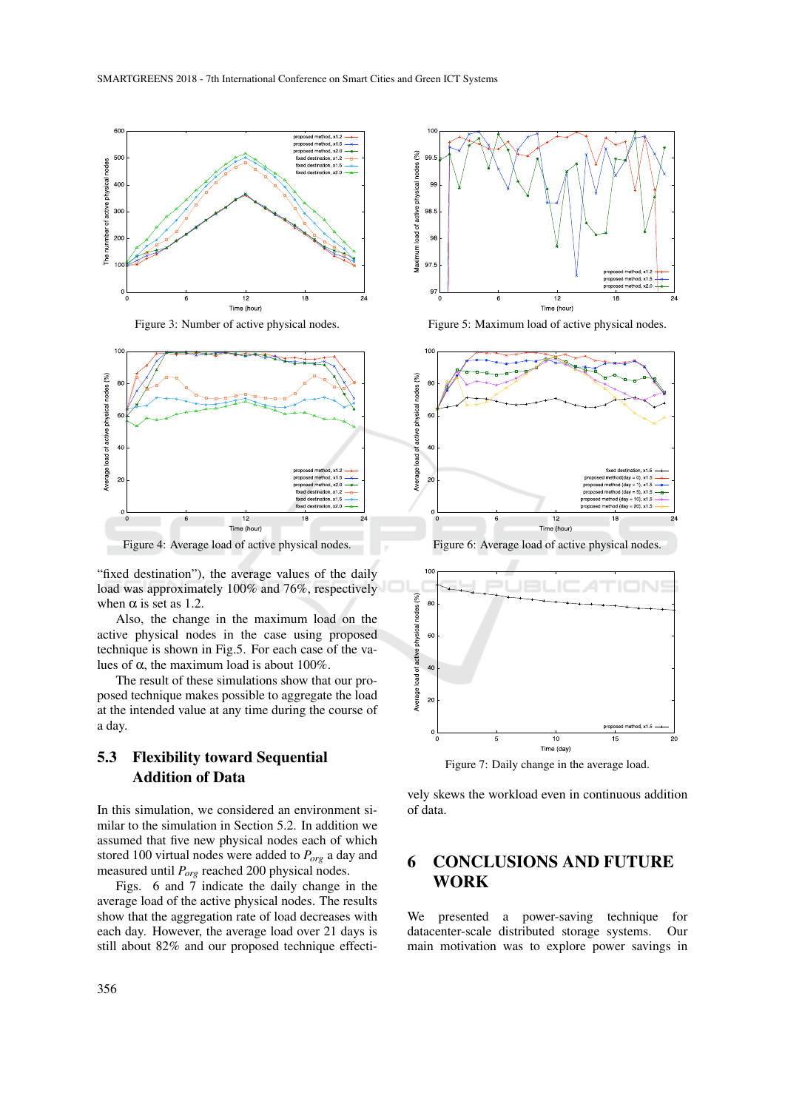

Figure 3: Number of active physical nodes.



"fixed destination"), the average values of the daily load was approximately 100% and 76%, respectively when  $\alpha$  is set as 1.2.

Also, the change in the maximum load on the active physical nodes in the case using proposed technique is shown in Fig.5. For each case of the values of  $\alpha$ , the maximum load is about 100%.

The result of these simulations show that our proposed technique makes possible to aggregate the load at the intended value at any time during the course of a day.

### 5.3 Flexibility toward Sequential Addition of Data

In this simulation, we considered an environment similar to the simulation in Section 5.2. In addition we assumed that five new physical nodes each of which stored 100 virtual nodes were added to *Porg* a day and measured until *Porg* reached 200 physical nodes.

Figs. 6 and  $\overline{7}$  indicate the daily change in the average load of the active physical nodes. The results show that the aggregation rate of load decreases with each day. However, the average load over 21 days is still about 82% and our proposed technique effecti-



Figure 5: Maximum load of active physical nodes.



Figure 6: Average load of active physical nodes.



Figure 7: Daily change in the average load.

vely skews the workload even in continuous addition of data.

### 6 CONCLUSIONS AND FUTURE WORK

We presented a power-saving technique for datacenter-scale distributed storage systems. Our main motivation was to explore power savings in